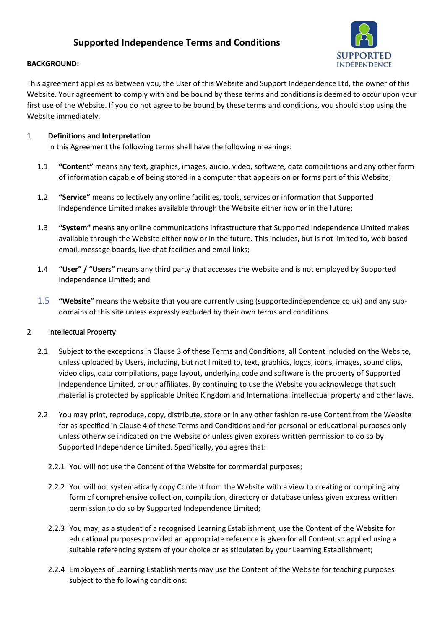# **Supported Independence Terms and Conditions**



#### **BACKGROUND:**

This agreement applies as between you, the User of this Website and Support Independence Ltd, the owner of this Website. Your agreement to comply with and be bound by these terms and conditions is deemed to occur upon your first use of the Website. If you do not agree to be bound by these terms and conditions, you should stop using the Website immediately.

### 1 **Definitions and Interpretation**

In this Agreement the following terms shall have the following meanings:

- 1.1 **"Content"** means any text, graphics, images, audio, video, software, data compilations and any other form of information capable of being stored in a computer that appears on or forms part of this Website;
- 1.2 **"Service"** means collectively any online facilities, tools, services or information that Supported Independence Limited makes available through the Website either now or in the future;
- 1.3 **"System"** means any online communications infrastructure that Supported Independence Limited makes available through the Website either now or in the future. This includes, but is not limited to, web-based email, message boards, live chat facilities and email links;
- 1.4 **"User" / "Users"** means any third party that accesses the Website and is not employed by Supported Independence Limited; and
- 1.5 **"Website"** means the website that you are currently using (supportedindependence.co.uk) and any subdomains of this site unless expressly excluded by their own terms and conditions.

### 2 Intellectual Property

- 2.1 Subject to the exceptions in Clause 3 of these Terms and Conditions, all Content included on the Website, unless uploaded by Users, including, but not limited to, text, graphics, logos, icons, images, sound clips, video clips, data compilations, page layout, underlying code and software is the property of Supported Independence Limited, or our affiliates. By continuing to use the Website you acknowledge that such material is protected by applicable United Kingdom and International intellectual property and other laws.
- 2.2 You may print, reproduce, copy, distribute, store or in any other fashion re-use Content from the Website for as specified in Clause 4 of these Terms and Conditions and for personal or educational purposes only unless otherwise indicated on the Website or unless given express written permission to do so by Supported Independence Limited. Specifically, you agree that:
	- 2.2.1 You will not use the Content of the Website for commercial purposes;
	- 2.2.2 You will not systematically copy Content from the Website with a view to creating or compiling any form of comprehensive collection, compilation, directory or database unless given express written permission to do so by Supported Independence Limited;
	- 2.2.3 You may, as a student of a recognised Learning Establishment, use the Content of the Website for educational purposes provided an appropriate reference is given for all Content so applied using a suitable referencing system of your choice or as stipulated by your Learning Establishment;
	- 2.2.4 Employees of Learning Establishments may use the Content of the Website for teaching purposes subject to the following conditions: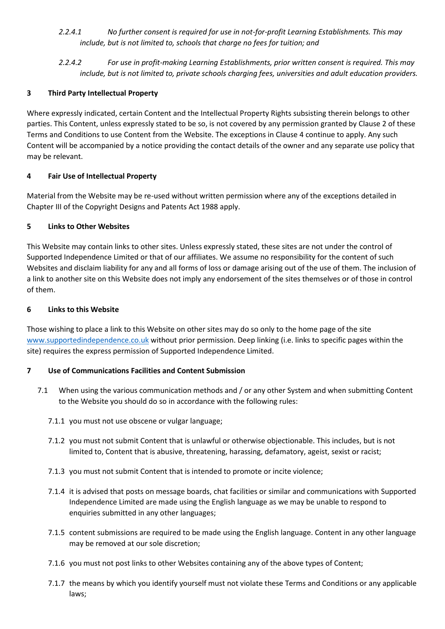- *2.2.4.1 No further consent is required for use in not-for-profit Learning Establishments. This may include, but is not limited to, schools that charge no fees for tuition; and*
- *2.2.4.2 For use in profit-making Learning Establishments, prior written consent is required. This may include, but is not limited to, private schools charging fees, universities and adult education providers.*

## **3 Third Party Intellectual Property**

Where expressly indicated, certain Content and the Intellectual Property Rights subsisting therein belongs to other parties. This Content, unless expressly stated to be so, is not covered by any permission granted by Clause 2 of these Terms and Conditions to use Content from the Website. The exceptions in Clause 4 continue to apply. Any such Content will be accompanied by a notice providing the contact details of the owner and any separate use policy that may be relevant.

## **4 Fair Use of Intellectual Property**

Material from the Website may be re-used without written permission where any of the exceptions detailed in Chapter III of the Copyright Designs and Patents Act 1988 apply.

## **5 Links to Other Websites**

This Website may contain links to other sites. Unless expressly stated, these sites are not under the control of Supported Independence Limited or that of our affiliates. We assume no responsibility for the content of such Websites and disclaim liability for any and all forms of loss or damage arising out of the use of them. The inclusion of a link to another site on this Website does not imply any endorsement of the sites themselves or of those in control of them.

### **6 Links to this Website**

Those wishing to place a link to this Website on other sites may do so only to the home page of the site [www.supportedindependence.co.uk](http://www.supportedindependence/) without prior permission. Deep linking (i.e. links to specific pages within the site) requires the express permission of Supported Independence Limited.

### **7 Use of Communications Facilities and Content Submission**

- 7.1 When using the various communication methods and / or any other System and when submitting Content to the Website you should do so in accordance with the following rules:
	- 7.1.1 you must not use obscene or vulgar language;
	- 7.1.2 you must not submit Content that is unlawful or otherwise objectionable. This includes, but is not limited to, Content that is abusive, threatening, harassing, defamatory, ageist, sexist or racist;
	- 7.1.3 you must not submit Content that is intended to promote or incite violence;
	- 7.1.4 it is advised that posts on message boards, chat facilities or similar and communications with Supported Independence Limited are made using the English language as we may be unable to respond to enquiries submitted in any other languages;
	- 7.1.5 content submissions are required to be made using the English language. Content in any other language may be removed at our sole discretion;
	- 7.1.6 you must not post links to other Websites containing any of the above types of Content;
	- 7.1.7 the means by which you identify yourself must not violate these Terms and Conditions or any applicable laws;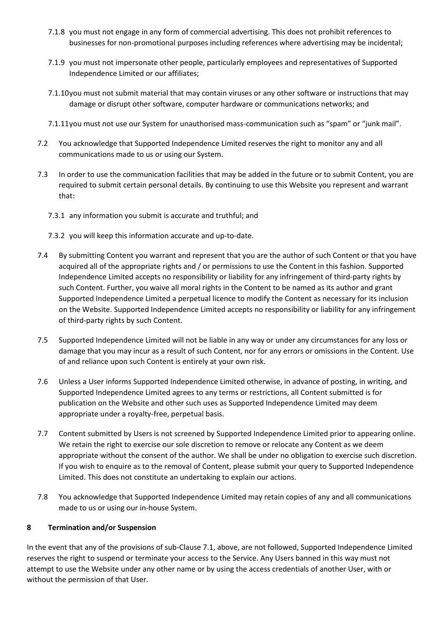- 7.1.8 you must not engage in any form of commercial advertising. This does not prohibit references to businesses for non-promotional purposes including references where advertising may be incidental;
- 7.1.9 you must not impersonate other people, particularly employees and representatives of Supported Independence Limited or our affiliates;
- 7.1.10you must not submit material that may contain viruses or any other software or instructions that may damage or disrupt other software, computer hardware or communications networks; and
- 7.1.11you must not use our System for unauthorised mass-communication such as "spam" or "junk mail".
- 7.2 You acknowledge that Supported Independence Limited reserves the right to monitor any and all communications made to us or using our System.
- 7.3 In order to use the communication facilities that may be added in the future or to submit Content, you are required to submit certain personal details. By continuing to use this Website you represent and warrant that:
	- 7.3.1 any information you submit is accurate and truthful; and
	- 7.3.2 you will keep this information accurate and up-to-date.
- 7.4 By submitting Content you warrant and represent that you are the author of such Content or that you have acquired all of the appropriate rights and / or permissions to use the Content in this fashion. Supported Independence Limited accepts no responsibility or liability for any infringement of third-party rights by such Content. Further, you waive all moral rights in the Content to be named as its author and grant Supported Independence Limited a perpetual licence to modify the Content as necessary for its inclusion on the Website. Supported Independence Limited accepts no responsibility or liability for any infringement of third-party rights by such Content.
- 7.5 Supported Independence Limited will not be liable in any way or under any circumstances for any loss or damage that you may incur as a result of such Content, nor for any errors or omissions in the Content. Use of and reliance upon such Content is entirely at your own risk.
- 7.6 Unless a User informs Supported Independence Limited otherwise, in advance of posting, in writing, and Supported Independence Limited agrees to any terms or restrictions, all Content submitted is for publication on the Website and other such uses as Supported Independence Limited may deem appropriate under a royalty-free, perpetual basis.
- 7.7 Content submitted by Users is not screened by Supported Independence Limited prior to appearing online. We retain the right to exercise our sole discretion to remove or relocate any Content as we deem appropriate without the consent of the author. We shall be under no obligation to exercise such discretion. If you wish to enquire as to the removal of Content, please submit your query to Supported Independence Limited. This does not constitute an undertaking to explain our actions.
- 7.8 You acknowledge that Supported Independence Limited may retain copies of any and all communications made to us or using our in-house System.

### **8 Termination and/or Suspension**

In the event that any of the provisions of sub-Clause 7.1, above, are not followed, Supported Independence Limited reserves the right to suspend or terminate your access to the Service. Any Users banned in this way must not attempt to use the Website under any other name or by using the access credentials of another User, with or without the permission of that User.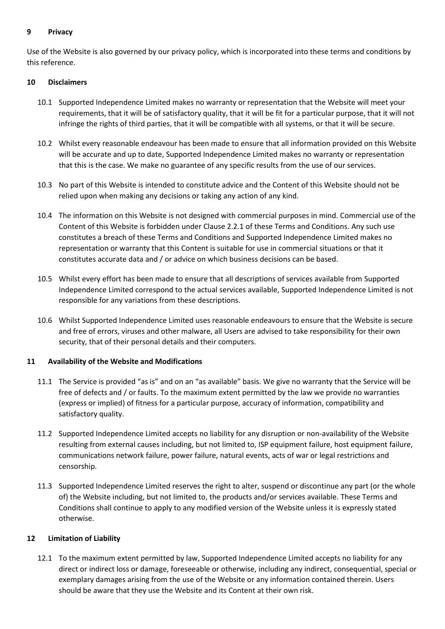#### **9 Privacy**

Use of the Website is also governed by our privacy policy, which is incorporated into these terms and conditions by this reference.

#### **10 Disclaimers**

- 10.1 Supported Independence Limited makes no warranty or representation that the Website will meet your requirements, that it will be of satisfactory quality, that it will be fit for a particular purpose, that it will not infringe the rights of third parties, that it will be compatible with all systems, or that it will be secure.
- 10.2 Whilst every reasonable endeavour has been made to ensure that all information provided on this Website will be accurate and up to date, Supported Independence Limited makes no warranty or representation that this is the case. We make no guarantee of any specific results from the use of our services.
- 10.3 No part of this Website is intended to constitute advice and the Content of this Website should not be relied upon when making any decisions or taking any action of any kind.
- 10.4 The information on this Website is not designed with commercial purposes in mind. Commercial use of the Content of this Website is forbidden under Clause 2.2.1 of these Terms and Conditions. Any such use constitutes a breach of these Terms and Conditions and Supported Independence Limited makes no representation or warranty that this Content is suitable for use in commercial situations or that it constitutes accurate data and / or advice on which business decisions can be based.
- 10.5 Whilst every effort has been made to ensure that all descriptions of services available from Supported Independence Limited correspond to the actual services available, Supported Independence Limited is not responsible for any variations from these descriptions.
- 10.6 Whilst Supported Independence Limited uses reasonable endeavours to ensure that the Website is secure and free of errors, viruses and other malware, all Users are advised to take responsibility for their own security, that of their personal details and their computers.

### **11 Availability of the Website and Modifications**

- 11.1 The Service is provided "as is" and on an "as available" basis. We give no warranty that the Service will be free of defects and / or faults. To the maximum extent permitted by the law we provide no warranties (express or implied) of fitness for a particular purpose, accuracy of information, compatibility and satisfactory quality.
- 11.2 Supported Independence Limited accepts no liability for any disruption or non-availability of the Website resulting from external causes including, but not limited to, ISP equipment failure, host equipment failure, communications network failure, power failure, natural events, acts of war or legal restrictions and censorship.
- 11.3 Supported Independence Limited reserves the right to alter, suspend or discontinue any part (or the whole of) the Website including, but not limited to, the products and/or services available. These Terms and Conditions shall continue to apply to any modified version of the Website unless it is expressly stated otherwise.

#### **12 Limitation of Liability**

12.1 To the maximum extent permitted by law, Supported Independence Limited accepts no liability for any direct or indirect loss or damage, foreseeable or otherwise, including any indirect, consequential, special or exemplary damages arising from the use of the Website or any information contained therein. Users should be aware that they use the Website and its Content at their own risk.